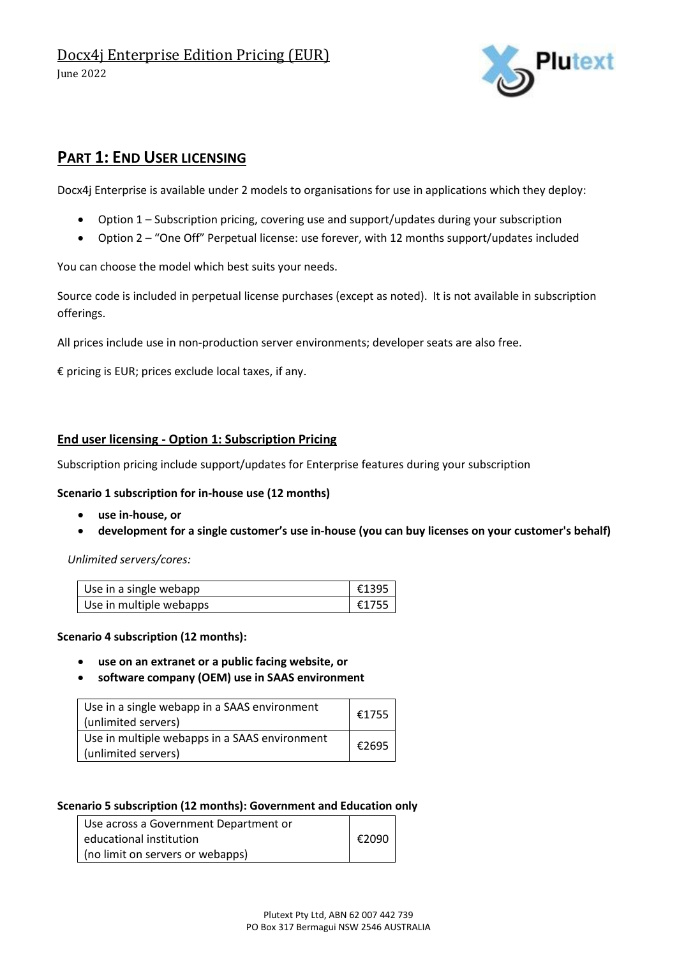

# **PART 1: END USER LICENSING**

Docx4j Enterprise is available under 2 models to organisations for use in applications which they deploy:

- Option 1 Subscription pricing, covering use and support/updates during your subscription
- Option 2 "One Off" Perpetual license: use forever, with 12 months support/updates included

You can choose the model which best suits your needs.

Source code is included in perpetual license purchases (except as noted). It is not available in subscription offerings.

All prices include use in non-production server environments; developer seats are also free.

€ pricing is EUR; prices exclude local taxes, if any.

### **End user licensing - Option 1: Subscription Pricing**

Subscription pricing include support/updates for Enterprise features during your subscription

#### **Scenario 1 subscription for in-house use (12 months)**

- **use in-house, or**
- **development for a single customer's use in-house (you can buy licenses on your customer's behalf)**

*Unlimited servers/cores:*

| Use in a single webapp  | €1395∣ |
|-------------------------|--------|
| Use in multiple webapps | €1755  |

#### **Scenario 4 subscription (12 months):**

- **use on an extranet or a public facing website, or**
- **software company (OEM) use in SAAS environment**

| Use in a single webapp in a SAAS environment<br>(unlimited servers)  | €1755 |
|----------------------------------------------------------------------|-------|
| Use in multiple webapps in a SAAS environment<br>(unlimited servers) | €2695 |

#### **Scenario 5 subscription (12 months): Government and Education only**

| Use across a Government Department or |                 |
|---------------------------------------|-----------------|
| educational institution               | $\epsilon$ 2090 |
| (no limit on servers or webapps)      |                 |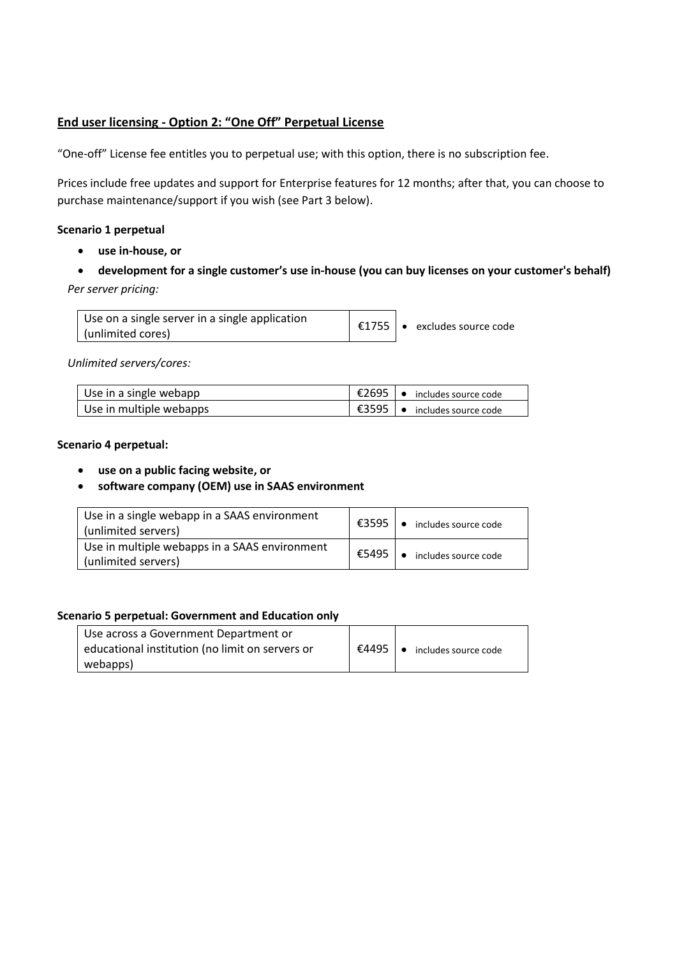## **End user licensing - Option 2: "One Off" Perpetual License**

"One-off" License fee entitles you to perpetual use; with this option, there is no subscription fee.

Prices include free updates and support for Enterprise features for 12 months; after that, you can choose to purchase maintenance/support if you wish (see Part 3 below).

### **Scenario 1 perpetual**

- **use in-house, or**
- **development for a single customer's use in-house (you can buy licenses on your customer's behalf)** *Per server pricing:*

| Use on a single server in a single application |  |                                    |
|------------------------------------------------|--|------------------------------------|
| (unlimited cores)                              |  | €1755 $\cdot$ excludes source code |

*Unlimited servers/cores:*

| Use in a single webapp  | I €2695   • includes source code |
|-------------------------|----------------------------------|
| Use in multiple webapps | I €3595   • includes source code |

### **Scenario 4 perpetual:**

- **use on a public facing website, or**
- **software company (OEM) use in SAAS environment**

| Use in a single webapp in a SAAS environment<br>(unlimited servers)  | €3595 | • includes source code         |
|----------------------------------------------------------------------|-------|--------------------------------|
| Use in multiple webapps in a SAAS environment<br>(unlimited servers) | €5495 | $\bullet$ includes source code |

#### **Scenario 5 perpetual: Government and Education only**

| Use across a Government Department or           |                                             |
|-------------------------------------------------|---------------------------------------------|
| educational institution (no limit on servers or | <b>E4495</b> $\bullet$ includes source code |
| webapps)                                        |                                             |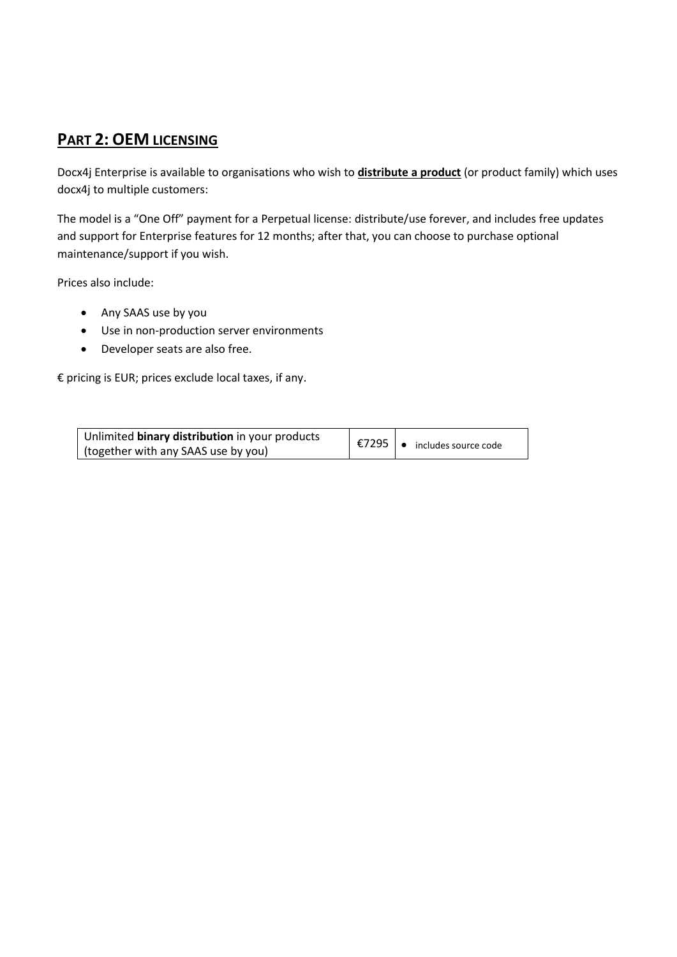# **PART 2: OEM LICENSING**

Docx4j Enterprise is available to organisations who wish to **distribute a product** (or product family) which uses docx4j to multiple customers:

The model is a "One Off" payment for a Perpetual license: distribute/use forever, and includes free updates and support for Enterprise features for 12 months; after that, you can choose to purchase optional maintenance/support if you wish.

Prices also include:

- Any SAAS use by you
- Use in non-production server environments
- Developer seats are also free.

€ pricing is EUR; prices exclude local taxes, if any.

| Unlimited binary distribution in your products |                                                          |
|------------------------------------------------|----------------------------------------------------------|
| (together with any SAAS use by you)            | $\mid$ €7295 $\mid \bullet \rangle$ includes source code |